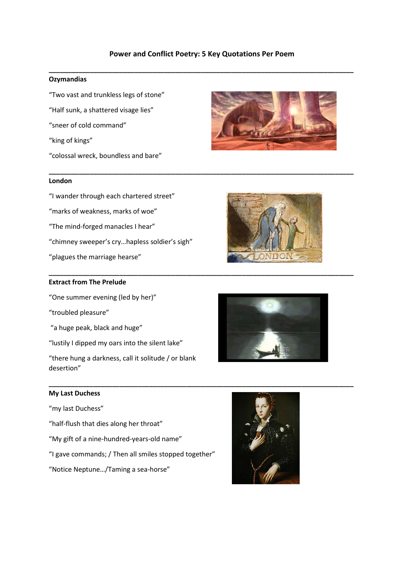# **Power and Conflict Poetry: 5 Key Quotations Per Poem**

**\_\_\_\_\_\_\_\_\_\_\_\_\_\_\_\_\_\_\_\_\_\_\_\_\_\_\_\_\_\_\_\_\_\_\_\_\_\_\_\_\_\_\_\_\_\_\_\_\_\_\_\_\_\_\_\_\_\_\_\_\_\_\_\_\_\_\_\_\_\_\_\_\_\_\_\_\_\_\_\_\_\_**

**\_\_\_\_\_\_\_\_\_\_\_\_\_\_\_\_\_\_\_\_\_\_\_\_\_\_\_\_\_\_\_\_\_\_\_\_\_\_\_\_\_\_\_\_\_\_\_\_\_\_\_\_\_\_\_\_\_\_\_\_\_\_\_\_\_\_\_\_\_\_\_\_\_\_\_\_\_\_\_\_\_\_**

**\_\_\_\_\_\_\_\_\_\_\_\_\_\_\_\_\_\_\_\_\_\_\_\_\_\_\_\_\_\_\_\_\_\_\_\_\_\_\_\_\_\_\_\_\_\_\_\_\_\_\_\_\_\_\_\_\_\_\_\_\_\_\_\_\_\_\_\_\_\_\_\_\_\_\_\_\_\_\_\_\_\_**

## **Ozymandias**

- "Two vast and trunkless legs of stone"
- "Half sunk, a shattered visage lies"
- "sneer of cold command"
- "king of kings"
- "colossal wreck, boundless and bare"

#### **London**

- "I wander through each chartered street"
- "marks of weakness, marks of woe"
- "The mind-forged manacles I hear"
- "chimney sweeper's cry…hapless soldier's sigh"
- "plagues the marriage hearse"

### **Extract from The Prelude**

- "One summer evening (led by her)"
- "troubled pleasure"
- "a huge peak, black and huge"
- "lustily I dipped my oars into the silent lake"
- "there hung a darkness, call it solitude / or blank desertion"

### **My Last Duchess**

- "my last Duchess"
- "half-flush that dies along her throat"
- "My gift of a nine-hundred-years-old name"
- "I gave commands; / Then all smiles stopped together"
- "Notice Neptune…/Taming a sea-horse"







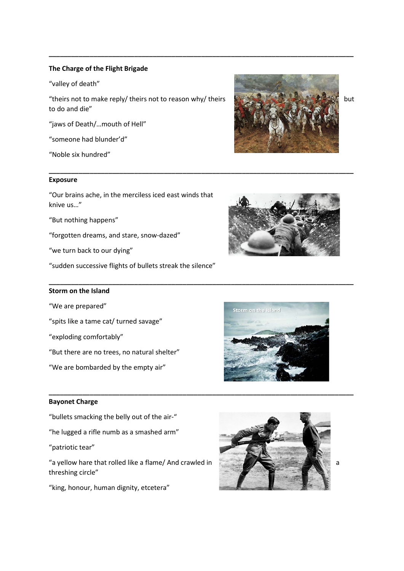## **The Charge of the Flight Brigade**

"valley of death"

"theirs not to make reply/ theirs not to reason why/ theirs but but to do and die"

**\_\_\_\_\_\_\_\_\_\_\_\_\_\_\_\_\_\_\_\_\_\_\_\_\_\_\_\_\_\_\_\_\_\_\_\_\_\_\_\_\_\_\_\_\_\_\_\_\_\_\_\_\_\_\_\_\_\_\_\_\_\_\_\_\_\_\_\_\_\_\_\_\_\_\_\_\_\_\_\_\_\_**

**\_\_\_\_\_\_\_\_\_\_\_\_\_\_\_\_\_\_\_\_\_\_\_\_\_\_\_\_\_\_\_\_\_\_\_\_\_\_\_\_\_\_\_\_\_\_\_\_\_\_\_\_\_\_\_\_\_\_\_\_\_\_\_\_\_\_\_\_\_\_\_\_\_\_\_\_\_\_\_\_\_\_**

**\_\_\_\_\_\_\_\_\_\_\_\_\_\_\_\_\_\_\_\_\_\_\_\_\_\_\_\_\_\_\_\_\_\_\_\_\_\_\_\_\_\_\_\_\_\_\_\_\_\_\_\_\_\_\_\_\_\_\_\_\_\_\_\_\_\_\_\_\_\_\_\_\_\_\_\_\_\_\_\_\_\_**

**\_\_\_\_\_\_\_\_\_\_\_\_\_\_\_\_\_\_\_\_\_\_\_\_\_\_\_\_\_\_\_\_\_\_\_\_\_\_\_\_\_\_\_\_\_\_\_\_\_\_\_\_\_\_\_\_\_\_\_\_\_\_\_\_\_\_\_\_\_\_\_\_\_\_\_\_\_\_\_\_\_\_**

"jaws of Death/…mouth of Hell"

"someone had blunder'd"

"Noble six hundred"

#### **Exposure**





"Our brains ache, in the merciless iced east winds that knive us…"

"But nothing happens"

"forgotten dreams, and stare, snow-dazed"

"we turn back to our dying"

"sudden successive flights of bullets streak the silence"

#### **Storm on the Island**

- "We are prepared"
- "spits like a tame cat/ turned savage"
- "exploding comfortably"

"But there are no trees, no natural shelter"

"We are bombarded by the empty air"

#### **Bayonet Charge**

"bullets smacking the belly out of the air-"

"he lugged a rifle numb as a smashed arm"

"patriotic tear"

"a yellow hare that rolled like a flame/ And crawled in a state of the state of the state of a threshing circle"

"king, honour, human dignity, etcetera"